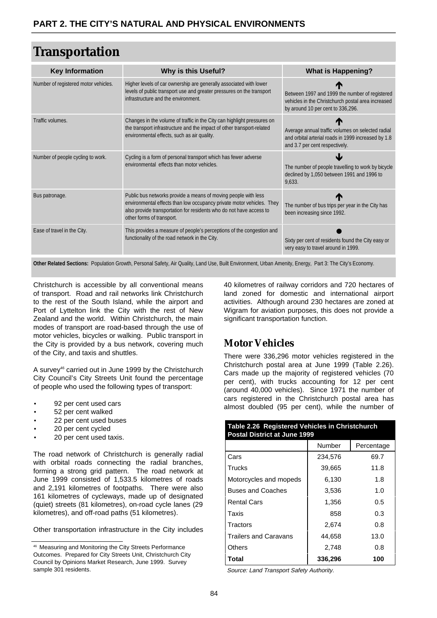# **Transportation**

| <b>Key Information</b>               | <b>Why is this Useful?</b>                                                                                                                                                                                                                  | What is Happening?                                                                                                                         |
|--------------------------------------|---------------------------------------------------------------------------------------------------------------------------------------------------------------------------------------------------------------------------------------------|--------------------------------------------------------------------------------------------------------------------------------------------|
| Number of registered motor vehicles. | Higher levels of car ownership are generally associated with lower<br>levels of public transport use and greater pressures on the transport<br>infrastructure and the environment.                                                          | Between 1997 and 1999 the number of registered<br>vehicles in the Christchurch postal area increased<br>by around 10 per cent to 336,296.  |
| Traffic volumes.                     | Changes in the volume of traffic in the City can highlight pressures on<br>the transport infrastructure and the impact of other transport-related<br>environmental effects, such as air quality.                                            | Average annual traffic volumes on selected radial<br>and orbital arterial roads in 1999 increased by 1.8<br>and 3.7 per cent respectively. |
| Number of people cycling to work.    | Cycling is a form of personal transport which has fewer adverse<br>environmental effects than motor vehicles.                                                                                                                               | The number of people travelling to work by bicycle<br>declined by 1,050 between 1991 and 1996 to<br>9,633.                                 |
| Bus patronage.                       | Public bus networks provide a means of moving people with less<br>environmental effects than low occupancy private motor vehicles. They<br>also provide transportation for residents who do not have access to<br>other forms of transport. | The number of bus trips per year in the City has<br>been increasing since 1992.                                                            |
| Ease of travel in the City.          | This provides a measure of people's perceptions of the congestion and<br>functionality of the road network in the City.                                                                                                                     | Sixty per cent of residents found the City easy or<br>very easy to travel around in 1999.                                                  |

**Other Related Sections:** Population Growth, Personal Safety, Air Quality, Land Use, Built Environment, Urban Amenity, Energy, Part 3: The City's Economy.

Christchurch is accessible by all conventional means of transport. Road and rail networks link Christchurch to the rest of the South Island, while the airport and Port of Lyttelton link the City with the rest of New Zealand and the world. Within Christchurch, the main modes of transport are road-based through the use of motor vehicles, bicycles or walking. Public transport in the City is provided by a bus network, covering much of the City, and taxis and shuttles.

A survey46 carried out in June 1999 by the Christchurch City Council's City Streets Unit found the percentage of people who used the following types of transport:

- 92 per cent used cars
- 52 per cent walked
- 22 per cent used buses
- 20 per cent cycled
- 20 per cent used taxis.

The road network of Christchurch is generally radial with orbital roads connecting the radial branches, forming a strong grid pattern. The road network at June 1999 consisted of 1,533.5 kilometres of roads and 2,191 kilometres of footpaths. There were also 161 kilometres of cycleways, made up of designated (quiet) streets (81 kilometres), on-road cycle lanes (29 kilometres), and off-road paths (51 kilometres).

Other transportation infrastructure in the City includes

40 kilometres of railway corridors and 720 hectares of land zoned for domestic and international airport activities. Although around 230 hectares are zoned at Wigram for aviation purposes, this does not provide a significant transportation function.

## **Motor Vehicles**

There were 336,296 motor vehicles registered in the Christchurch postal area at June 1999 (Table 2.26). Cars made up the majority of registered vehicles (70 per cent), with trucks accounting for 12 per cent (around 40,000 vehicles). Since 1971 the number of cars registered in the Christchurch postal area has almost doubled (95 per cent), while the number of

| Table 2.26 Registered Vehicles in Christchurch<br><b>Postal District at June 1999</b> |         |            |  |  |  |  |
|---------------------------------------------------------------------------------------|---------|------------|--|--|--|--|
|                                                                                       | Number  | Percentage |  |  |  |  |
| Cars                                                                                  | 234,576 | 69.7       |  |  |  |  |
| Trucks                                                                                | 39,665  | 11.8       |  |  |  |  |
| Motorcycles and mopeds                                                                | 6,130   | 1.8        |  |  |  |  |
| <b>Buses and Coaches</b>                                                              | 3,536   | 1.0        |  |  |  |  |
| <b>Rental Cars</b>                                                                    | 1,356   | 0.5        |  |  |  |  |
| Taxis                                                                                 | 858     | 0.3        |  |  |  |  |
| Tractors                                                                              | 2,674   | 0.8        |  |  |  |  |
| <b>Trailers and Caravans</b>                                                          | 44,658  | 13.0       |  |  |  |  |
| Others                                                                                | 2.748   | 0.8        |  |  |  |  |
| Total                                                                                 | 336,296 | 100        |  |  |  |  |

Source: Land Transport Safety Authority.

<sup>46</sup> Measuring and Monitoring the City Streets Performance Outcomes. Prepared for City Streets Unit, Christchurch City Council by Opinions Market Research, June 1999. Survey sample 301 residents.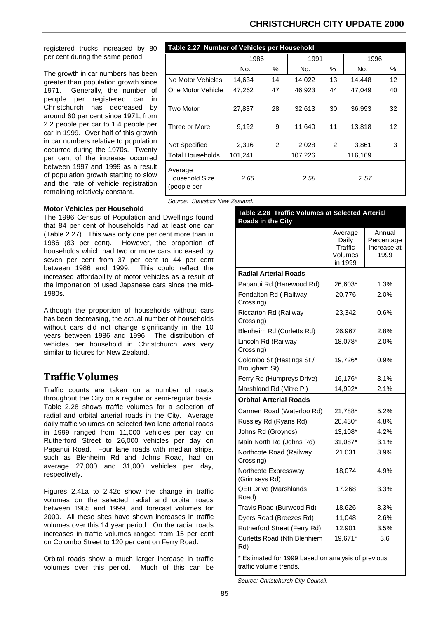#### **CHRISTCHURCH CITY UPDATE 2000**

registered trucks increased by 80 per cent during the same period.

The growth in car numbers has been greater than population growth since 1971. Generally, the number of people per registered car in Christchurch has decreased by around 60 per cent since 1971, from 2.2 people per car to 1.4 people per car in 1999. Over half of this growth in car numbers relative to population occurred during the 1970s. Twenty per cent of the increase occurred between 1997 and 1999 as a result of population growth starting to slow and the rate of vehicle registration remaining relatively constant.

| Table 2.27 Number of Vehicles per Household |         |    |         |      |         |                   |  |
|---------------------------------------------|---------|----|---------|------|---------|-------------------|--|
|                                             | 1986    |    | 1991    | 1996 |         |                   |  |
|                                             | No.     | %  | No.     | %    | No.     | %                 |  |
| No Motor Vehicles                           | 14,634  | 14 | 14,022  | 13   | 14,448  | $12 \overline{ }$ |  |
| One Motor Vehicle                           | 47,262  | 47 | 46,923  | 44   | 47.049  | 40                |  |
| <b>Two Motor</b>                            | 27,837  | 28 | 32,613  | 30   | 36,993  | 32                |  |
| Three or More                               | 9,192   | 9  | 11,640  | 11   | 13,818  | 12                |  |
| Not Specified                               | 2,316   | 2  | 2,028   | 2    | 3.861   | 3                 |  |
| Total Households                            | 101,241 |    | 107,226 |      | 116,169 |                   |  |
| Average<br>Household Size<br>(people per    | 2.66    |    | 2.58    |      | 2.57    |                   |  |

Source: Statistics New Zealand.

#### **Motor Vehicles per Household**

The 1996 Census of Population and Dwellings found that 84 per cent of households had at least one car (Table 2.27). This was only one per cent more than in 1986 (83 per cent). However, the proportion of households which had two or more cars increased by seven per cent from 37 per cent to 44 per cent between 1986 and 1999. This could reflect the increased affordability of motor vehicles as a result of the importation of used Japanese cars since the mid-1980s.

Although the proportion of households without cars has been decreasing, the actual number of households without cars did not change significantly in the 10 years between 1986 and 1996. The distribution of vehicles per household in Christchurch was very similar to figures for New Zealand.

### **Traffic Volumes**

Traffic counts are taken on a number of roads throughout the City on a regular or semi-regular basis. Table 2.28 shows traffic volumes for a selection of radial and orbital arterial roads in the City. Average daily traffic volumes on selected two lane arterial roads in 1999 ranged from 11,000 vehicles per day on Rutherford Street to 26,000 vehicles per day on Papanui Road. Four lane roads with median strips, such as Blenheim Rd and Johns Road, had on average 27,000 and 31,000 vehicles per day, respectively.

Figures 2.41a to 2.42c show the change in traffic volumes on the selected radial and orbital roads between 1985 and 1999, and forecast volumes for 2000. All these sites have shown increases in traffic volumes over this 14 year period. On the radial roads increases in traffic volumes ranged from 15 per cent on Colombo Street to 120 per cent on Ferry Road.

Orbital roads show a much larger increase in traffic volumes over this period. Much of this can be

| Table 2.28 Traffic Volumes at Selected Arterial<br>Roads in the City |                                                   |                                             |  |  |
|----------------------------------------------------------------------|---------------------------------------------------|---------------------------------------------|--|--|
|                                                                      | Average<br>Daily<br>Traffic<br>Volumes<br>in 1999 | Annual<br>Percentage<br>Increase at<br>1999 |  |  |
| <b>Radial Arterial Roads</b>                                         |                                                   |                                             |  |  |
| Papanui Rd (Harewood Rd)                                             | 26,603*                                           | 1.3%                                        |  |  |
| Fendalton Rd (Railway<br>Crossing)                                   | 20,776                                            | 2.0%                                        |  |  |
| Riccarton Rd (Railway<br>Crossing)                                   | 23,342                                            | 0.6%                                        |  |  |
| Blenheim Rd (Curletts Rd)                                            | 26,967                                            | 2.8%                                        |  |  |
| Lincoln Rd (Railway<br>Crossing)                                     | 18,078*                                           | 2.0%                                        |  |  |
| Colombo St (Hastings St /<br>Brougham St)                            | 19,726*                                           | 0.9%                                        |  |  |
| Ferry Rd (Humpreys Drive)                                            | 16,176*                                           | 3.1%                                        |  |  |
| Marshland Rd (Mitre PI)                                              | 14,992*                                           | 2.1%                                        |  |  |
| <b>Orbital Arterial Roads</b>                                        |                                                   |                                             |  |  |
| Carmen Road (Waterloo Rd)                                            | 21,788*                                           | 5.2%                                        |  |  |
| Russley Rd (Ryans Rd)                                                | 20,430*                                           | 4.8%                                        |  |  |
| Johns Rd (Groynes)                                                   | 13,108*                                           | 4.2%                                        |  |  |
| Main North Rd (Johns Rd)                                             | 31,087*                                           | 3.1%                                        |  |  |
| Northcote Road (Railway<br>Crossing)                                 | 21,031                                            | 3.9%                                        |  |  |
| Northcote Expressway<br>(Grimseys Rd)                                | 18,074                                            | 4.9%                                        |  |  |
| <b>QEII Drive (Marshlands</b><br>Road)                               | 17,268                                            | 3.3%                                        |  |  |
| Travis Road (Burwood Rd)                                             | 18,626                                            | 3.3%                                        |  |  |
| Dyers Road (Breezes Rd)                                              | 11,048                                            | 2.6%                                        |  |  |
| Rutherford Street (Ferry Rd)                                         | 12,901                                            | 3.5%                                        |  |  |
| Curletts Road (Nth Blenhiem<br>Rd)                                   | 19,671*                                           | 3.6                                         |  |  |
| * Estimated for 1999 based on analysis of previous                   |                                                   |                                             |  |  |

traffic volume trends.

Source: Christchurch City Council.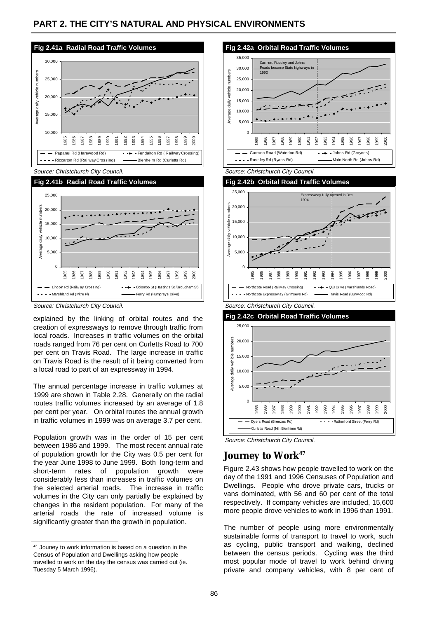



Source: Christchurch City Council.

explained by the linking of orbital routes and the creation of expressways to remove through traffic from local roads. Increases in traffic volumes on the orbital roads ranged from 76 per cent on Curletts Road to 700 per cent on Travis Road. The large increase in traffic on Travis Road is the result of it being converted from a local road to part of an expressway in 1994.

The annual percentage increase in traffic volumes at 1999 are shown in Table 2.28. Generally on the radial routes traffic volumes increased by an average of 1.8 per cent per year. On orbital routes the annual growth in traffic volumes in 1999 was on average 3.7 per cent.

Population growth was in the order of 15 per cent between 1986 and 1999. The most recent annual rate of population growth for the City was 0.5 per cent for the year June 1998 to June 1999. Both long-term and short-term rates of population growth were considerably less than increases in traffic volumes on the selected arterial roads. The increase in traffic volumes in the City can only partially be explained by changes in the resident population. For many of the arterial roads the rate of increased volume is significantly greater than the growth in population.



Source: Christchurch City Council.







### Journey to Work<sup>47</sup>

Figure 2.43 shows how people travelled to work on the day of the 1991 and 1996 Censuses of Population and Dwellings. People who drove private cars, trucks or vans dominated, with 56 and 60 per cent of the total respectively. If company vehicles are included, 15,600 more people drove vehicles to work in 1996 than 1991.

The number of people using more environmentally sustainable forms of transport to travel to work, such as cycling, public transport and walking, declined between the census periods. Cycling was the third most popular mode of travel to work behind driving private and company vehicles, with 8 per cent of

<sup>47</sup> Jouney to work information is based on a question in the Census of Population and Dwellings asking how people travelled to work on the day the census was carried out (ie. Tuesday 5 March 1996).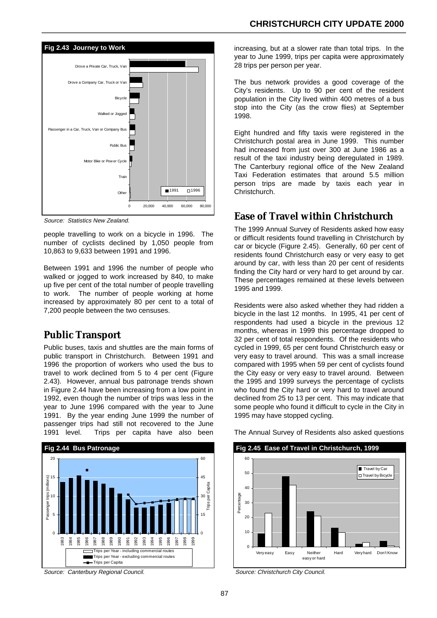

Source: Statistics New Zealand.

people travelling to work on a bicycle in 1996. The number of cyclists declined by 1,050 people from 10,863 to 9,633 between 1991 and 1996.

Between 1991 and 1996 the number of people who walked or jogged to work increased by 840, to make up five per cent of the total number of people travelling to work. The number of people working at home increased by approximately 80 per cent to a total of 7,200 people between the two censuses.

#### **Public Transport**

Public buses, taxis and shuttles are the main forms of public transport in Christchurch. Between 1991 and 1996 the proportion of workers who used the bus to travel to work declined from 5 to 4 per cent (Figure 2.43). However, annual bus patronage trends shown in Figure 2.44 have been increasing from a low point in 1992, even though the number of trips was less in the year to June 1996 compared with the year to June 1991. By the year ending June 1999 the number of passenger trips had still not recovered to the June 1991 level. Trips per capita have also been



Source: Canterbury Regional Council.

increasing, but at a slower rate than total trips. In the year to June 1999, trips per capita were approximately 28 trips per person per year.

The bus network provides a good coverage of the City's residents. Up to 90 per cent of the resident population in the City lived within 400 metres of a bus stop into the City (as the crow flies) at September 1998.

Eight hundred and fifty taxis were registered in the Christchurch postal area in June 1999. This number had increased from just over 300 at June 1986 as a result of the taxi industry being deregulated in 1989. The Canterbury regional office of the New Zealand Taxi Federation estimates that around 5.5 million person trips are made by taxis each year in Christchurch.

#### **Ease of Travel within Christchurch**

The 1999 Annual Survey of Residents asked how easy or difficult residents found travelling in Christchurch by car or bicycle (Figure 2.45). Generally, 60 per cent of residents found Christchurch easy or very easy to get around by car, with less than 20 per cent of residents finding the City hard or very hard to get around by car. These percentages remained at these levels between 1995 and 1999.

Residents were also asked whether they had ridden a bicycle in the last 12 months. In 1995, 41 per cent of respondents had used a bicycle in the previous 12 months, whereas in 1999 this percentage dropped to 32 per cent of total respondents. Of the residents who cycled in 1999, 65 per cent found Christchurch easy or very easy to travel around. This was a small increase compared with 1995 when 59 per cent of cyclists found the City easy or very easy to travel around. Between the 1995 and 1999 surveys the percentage of cyclists who found the City hard or very hard to travel around declined from 25 to 13 per cent. This may indicate that some people who found it difficult to cycle in the City in 1995 may have stopped cycling.



The Annual Survey of Residents also asked questions

Source: Christchurch City Council.